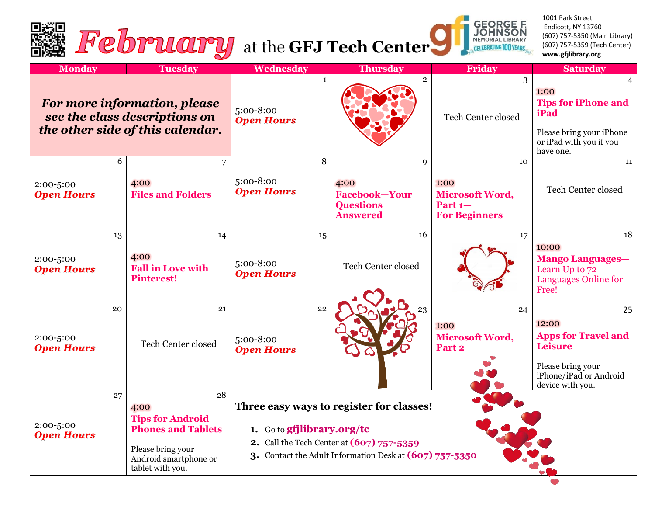



1001 Park Street Endicott, NY 13760 (607) 757-5350 (Main Library) (607) 757-5359 (Tech Center) **www.gfjlibrary.org**

| <b>Monday</b>                                                                                     | <b>Tuesday</b>                                                                                                                       | Wednesday                                                                                                                                                                      | <b>Thursday</b>                                                          | Friday                                                                    | <b>Saturday</b>                                                                                                                |
|---------------------------------------------------------------------------------------------------|--------------------------------------------------------------------------------------------------------------------------------------|--------------------------------------------------------------------------------------------------------------------------------------------------------------------------------|--------------------------------------------------------------------------|---------------------------------------------------------------------------|--------------------------------------------------------------------------------------------------------------------------------|
| For more information, please<br>see the class descriptions on<br>the other side of this calendar. |                                                                                                                                      | $\mathbf{1}$<br>5:00-8:00<br><b>Open Hours</b>                                                                                                                                 | $\overline{2}$                                                           | 3<br><b>Tech Center closed</b>                                            | 1:00<br><b>Tips for iPhone and</b><br>iPad<br>Please bring your iPhone<br>or iPad with you if you<br>have one.                 |
| 6<br>2:00-5:00<br><b>Open Hours</b>                                                               | 7<br>4:00<br><b>Files and Folders</b>                                                                                                | 8<br>5:00-8:00<br><b>Open Hours</b>                                                                                                                                            | 9<br>4:00<br><b>Facebook-Your</b><br><b>Questions</b><br><b>Answered</b> | 10<br>1:00<br><b>Microsoft Word,</b><br>Part $1-$<br><b>For Beginners</b> | 11<br>Tech Center closed                                                                                                       |
| 13<br>2:00-5:00<br><b>Open Hours</b>                                                              | 14<br>4:00<br><b>Fall in Love with</b><br><b>Pinterest!</b>                                                                          | 15<br>5:00-8:00<br><b>Open Hours</b>                                                                                                                                           | 16<br>Tech Center closed                                                 | 17                                                                        | 18<br>10:00<br><b>Mango Languages-</b><br>Learn Up to 72<br>Languages Online for<br>Free!                                      |
| 20<br>2:00-5:00<br><b>Open Hours</b>                                                              | 21<br>Tech Center closed                                                                                                             | 22<br>5:00-8:00<br><b>Open Hours</b>                                                                                                                                           | 23                                                                       | 24<br>1:00<br>Microsoft Word,<br>Part 2                                   | 25<br>12:00<br><b>Apps for Travel and</b><br><b>Leisure</b><br>Please bring your<br>iPhone/iPad or Android<br>device with you. |
| 27<br>2:00-5:00<br><b>Open Hours</b>                                                              | 28<br>4:00<br><b>Tips for Android</b><br><b>Phones and Tablets</b><br>Please bring your<br>Android smartphone or<br>tablet with you. | Three easy ways to register for classes!<br>1. Go to gfjlibrary.org/tc<br>2. Call the Tech Center at (607) 757-5359<br>3. Contact the Adult Information Desk at (607) 757-5350 |                                                                          |                                                                           |                                                                                                                                |